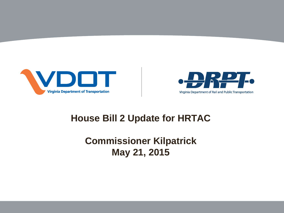



#### **House Bill 2 Update for HRTAC**

**Commissioner Kilpatrick May 21, 2015**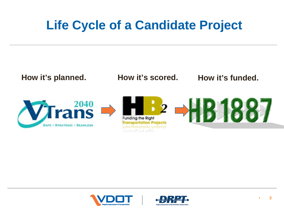#### **Life Cycle of a Candidate Project**





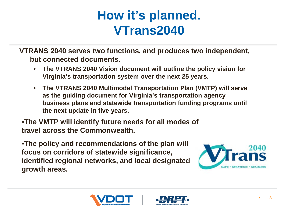#### **How it's planned. VTrans2040**

**VTRANS 2040 serves two functions, and produces two independent, but connected documents.**

- **The VTRANS 2040 Vision document will outline the policy vision for Virginia's transportation system over the next 25 years.**
- **The VTRANS 2040 Multimodal Transportation Plan (VMTP) will serve as the guiding document for Virginia's transportation agency business plans and statewide transportation funding programs until the next update in five years.**

•**The VMTP will identify future needs for all modes of travel across the Commonwealth.** 

•**The policy and recommendations of the plan will focus on corridors of statewide significance, identified regional networks, and local designated growth areas.**





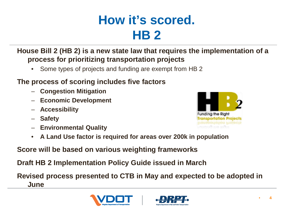#### **How it's scored. HB 2**

**House Bill 2 (HB 2) is a new state law that requires the implementation of a process for prioritizing transportation projects** 

• Some types of projects and funding are exempt from HB 2

#### **The process of scoring includes five factors**

- **Congestion Mitigation**
- **Economic Development**
- **Accessibility**
- **Safety**
- **Environmental Quality**



**Score will be based on various weighting frameworks**

**Draft HB 2 Implementation Policy Guide issued in March** 

**Revised process presented to CTB in May and expected to be adopted in June**





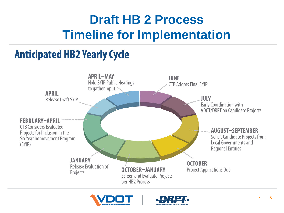### **Draft HB 2 Process Timeline for Implementation**

#### **Anticipated HB2 Yearly Cycle**





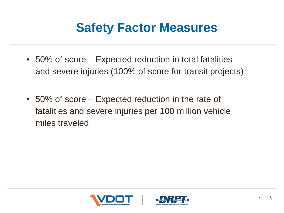#### **Safety Factor Measures**

- 50% of score Expected reduction in total fatalities and severe injuries (100% of score for transit projects)
- 50% of score Expected reduction in the rate of fatalities and severe injuries per 100 million vehicle miles traveled



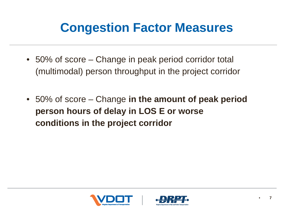#### **Congestion Factor Measures**

- 50% of score Change in peak period corridor total (multimodal) person throughput in the project corridor
- 50% of score Change **in the amount of peak period person hours of delay in LOS E or worse conditions in the project corridor**



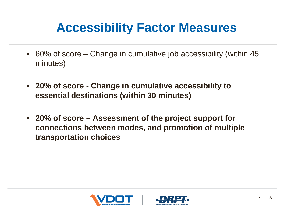#### **Accessibility Factor Measures**

- 60% of score Change in cumulative job accessibility (within 45) minutes)
- **20% of score - Change in cumulative accessibility to essential destinations (within 30 minutes)**
- **20% of score – Assessment of the project support for connections between modes, and promotion of multiple transportation choices**



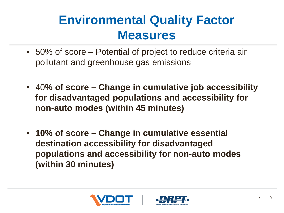#### **Environmental Quality Factor Measures**

- 50% of score Potential of project to reduce criteria air pollutant and greenhouse gas emissions
- 40**% of score – Change in cumulative job accessibility for disadvantaged populations and accessibility for non-auto modes (within 45 minutes)**
- **10% of score – Change in cumulative essential destination accessibility for disadvantaged populations and accessibility for non-auto modes (within 30 minutes)**



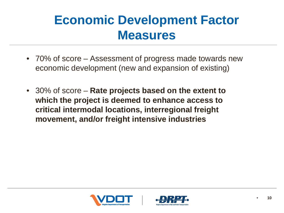#### **Economic Development Factor Measures**

- 70% of score Assessment of progress made towards new economic development (new and expansion of existing)
- 30% of score **Rate projects based on the extent to which the project is deemed to enhance access to critical intermodal locations, interregional freight movement, and/or freight intensive industries**



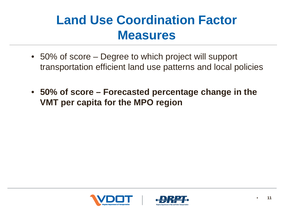#### **Land Use Coordination Factor Measures**

- 50% of score Degree to which project will support transportation efficient land use patterns and local policies
- **50% of score – Forecasted percentage change in the VMT per capita for the MPO region**



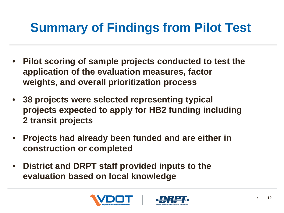## **Summary of Findings from Pilot Test**

- **Pilot scoring of sample projects conducted to test the application of the evaluation measures, factor weights, and overall prioritization process**
- **38 projects were selected representing typical projects expected to apply for HB2 funding including 2 transit projects**
- **Projects had already been funded and are either in construction or completed**
- **District and DRPT staff provided inputs to the evaluation based on local knowledge**



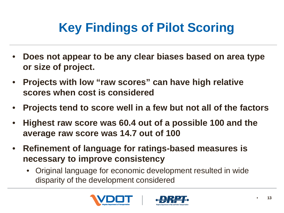# **Key Findings of Pilot Scoring**

- **Does not appear to be any clear biases based on area type or size of project.**
- **Projects with low "raw scores" can have high relative scores when cost is considered**
- **Projects tend to score well in a few but not all of the factors**
- **Highest raw score was 60.4 out of a possible 100 and the average raw score was 14.7 out of 100**
- **Refinement of language for ratings-based measures is necessary to improve consistency** 
	- Original language for economic development resulted in wide disparity of the development considered



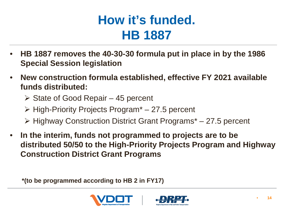#### **How it's funded. HB 1887**

- **HB 1887 removes the 40-30-30 formula put in place in by the 1986 Special Session legislation**
- **New construction formula established, effective FY 2021 available funds distributed:**
	- $\triangleright$  State of Good Repair 45 percent
	- $\triangleright$  High-Priority Projects Program<sup>\*</sup> 27.5 percent
	- $\triangleright$  Highway Construction District Grant Programs<sup>\*</sup> 27.5 percent
- **In the interim, funds not programmed to projects are to be distributed 50/50 to the High-Priority Projects Program and Highway Construction District Grant Programs**

**\*(to be programmed according to HB 2 in FY17)**



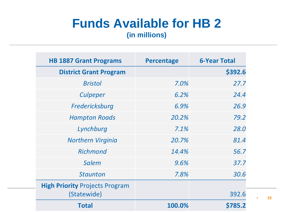#### **Funds Available for HB 2**

**(in millions)**

| <b>HB 1887 Grant Programs</b>                        | <b>Percentage</b> | <b>6-Year Total</b> |
|------------------------------------------------------|-------------------|---------------------|
| <b>District Grant Program</b>                        |                   | \$392.6             |
| <b>Bristol</b>                                       | 7.0%              | 27.7                |
| Culpeper                                             | 6.2%              | 24.4                |
| Fredericksburg                                       | 6.9%              | 26.9                |
| <b>Hampton Roads</b>                                 | 20.2%             | 79.2                |
| Lynchburg                                            | 7.1%              | 28.0                |
| <b>Northern Virginia</b>                             | 20.7%             | 81.4                |
| <b>Richmond</b>                                      | 14.4%             | 56.7                |
| <b>Salem</b>                                         | 9.6%              | 37.7                |
| <b>Staunton</b>                                      | 7.8%              | 30.6                |
| <b>High Priority Projects Program</b><br>(Statewide) |                   | 392.6               |
| <b>Total</b>                                         | 100.0%            | \$785.2             |

• **15**